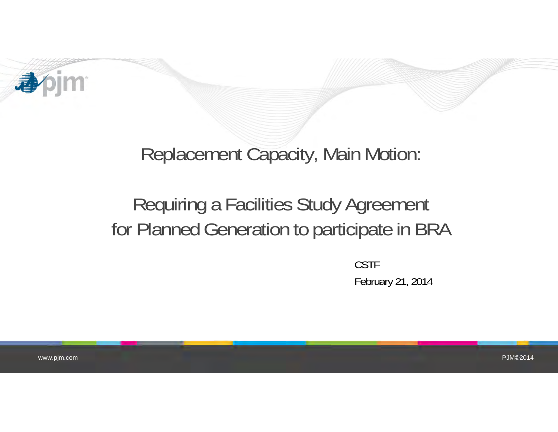

## Replacement Capacity, Main Motion:

# Requiring a Facilities Study Agreement for Planned Generation to participate in BRA

CSTFFebruary 21, 2014

www.pjm.com

PJM©2014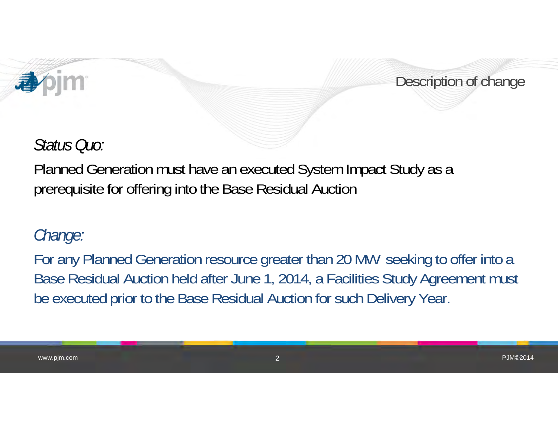

Description of change

PJM©2014

#### *Status Quo:*

Planned Generation must have an executed System Impact Study as a prerequisite for offering into the Base Residual Auction

#### *Change:*

www.pjm.com

For any Planned Generation resource greater than 20 MW seeking to offer into a Base Residual Auction held after June 1, 2014, a Facilities Study Agreement must be executed prior to the Base Residual Auction for such Delivery Year.

2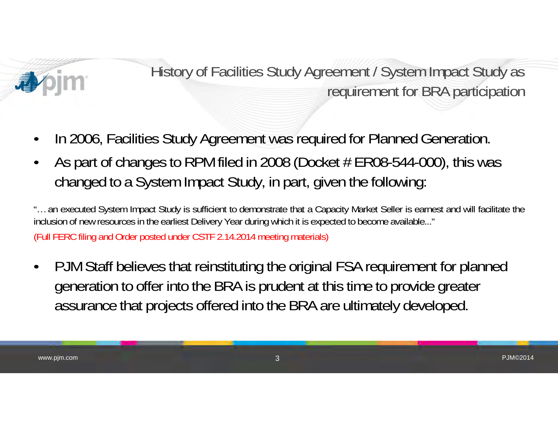

History of Facilities Study Agreement / System Impact Study as requirement for BRA participation

- •In 2006, Facilities Study Agreement was required for Planned Generation.
- •As part of changes to RPM filed in 2008 (Docket  $#ER08-544-000$ ), this was changed to a System Impact Study, in part, given the following:

"… an executed System Impact Study is sufficient to demonstrate that <sup>a</sup> Capacity Market Seller is earnest and will facilitate the inclusion of new resources in the earliest Delivery Year during which it is expected to become available..." (Full FERC filing and Order posted under CSTF 2.14.2014 meeting materials)

• PJM Staff believes that reinstituting the original FSA requirement for planned generation to offer into the BRA is prudent at this time to provide greater assurance that projects offered into the BRA are ultimately developed.

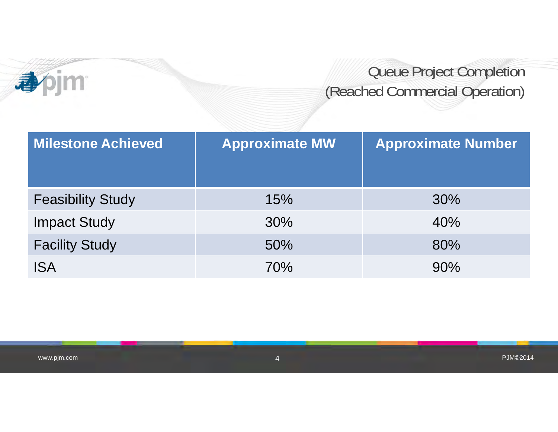

## Queue Project Completion (Reached Commercial Operation)

| <b>Milestone Achieved</b> | <b>Approximate MW</b> | <b>Approximate Number</b> |  |  |
|---------------------------|-----------------------|---------------------------|--|--|
| <b>Feasibility Study</b>  | 15%                   | 30%                       |  |  |
| <b>Impact Study</b>       | 30%                   | 40%                       |  |  |
| <b>Facility Study</b>     | 50%                   | 80%                       |  |  |
| <b>ISA</b>                | 70%                   | 90%                       |  |  |